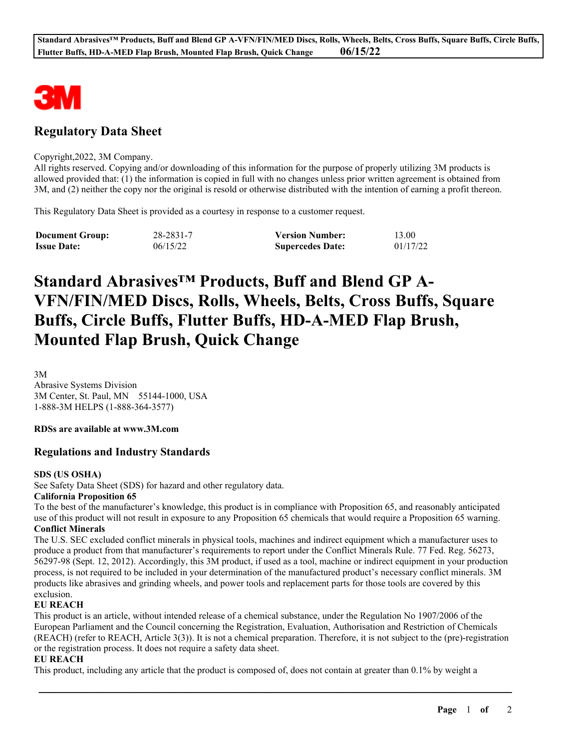

# **Regulatory Data Sheet**

#### Copyright,2022, 3M Company.

All rights reserved. Copying and/or downloading of this information for the purpose of properly utilizing 3M products is allowed provided that: (1) the information is copied in full with no changes unless prior written agreement is obtained from 3M, and (2) neither the copy nor the original is resold or otherwise distributed with the intention of earning a profit thereon.

This Regulatory Data Sheet is provided as a courtesy in response to a customer request.

| <b>Document Group:</b> | 28-2831-7 | <b>Version Number:</b>  | 13.00    |
|------------------------|-----------|-------------------------|----------|
| <b>Issue Date:</b>     | 06/15/22  | <b>Supercedes Date:</b> | 01/17/22 |

# **Standard Abrasives™ Products, Buff and Blend GP A-VFN/FIN/MED Discs, Rolls, Wheels, Belts, Cross Buffs, Square Buffs, Circle Buffs, Flutter Buffs, HD-A-MED Flap Brush, Mounted Flap Brush, Quick Change**

3M Abrasive Systems Division 3M Center, St. Paul, MN 55144-1000, USA 1-888-3M HELPS (1-888-364-3577)

**RDSs are available at www.3M.com**

## **Regulations and Industry Standards**

#### **SDS (US OSHA)**

See Safety Data Sheet (SDS) for hazard and other regulatory data.

#### **California Proposition 65**

To the best of the manufacturer's knowledge, this product is in compliance with Proposition 65, and reasonably anticipated use of this product will not result in exposure to any Proposition 65 chemicals that would require a Proposition 65 warning. **Conflict Minerals**

The U.S. SEC excluded conflict minerals in physical tools, machines and indirect equipment which a manufacturer uses to produce a product from that manufacturer's requirements to report under the Conflict Minerals Rule. 77 Fed. Reg. 56273, 56297-98 (Sept. 12, 2012). Accordingly, this 3M product, if used as a tool, machine or indirect equipment in your production process, is not required to be included in your determination of the manufactured product's necessary conflict minerals. 3M products like abrasives and grinding wheels, and power tools and replacement parts for those tools are covered by this exclusion.

#### **EU REACH**

This product is an article, without intended release of a chemical substance, under the Regulation No 1907/2006 of the European Parliament and the Council concerning the Registration, Evaluation, Authorisation and Restriction of Chemicals (REACH) (refer to REACH, Article 3(3)). It is not a chemical preparation. Therefore, it is not subject to the (pre)-registration or the registration process. It does not require a safety data sheet.

\_\_\_\_\_\_\_\_\_\_\_\_\_\_\_\_\_\_\_\_\_\_\_\_\_\_\_\_\_\_\_\_\_\_\_\_\_\_\_\_\_\_\_\_\_\_\_\_\_\_\_\_\_\_\_\_\_\_\_\_\_\_\_\_\_\_\_\_\_\_\_\_\_\_\_\_\_\_\_\_\_\_\_\_\_\_\_\_\_\_

#### **EU REACH**

This product, including any article that the product is composed of, does not contain at greater than 0.1% by weight a